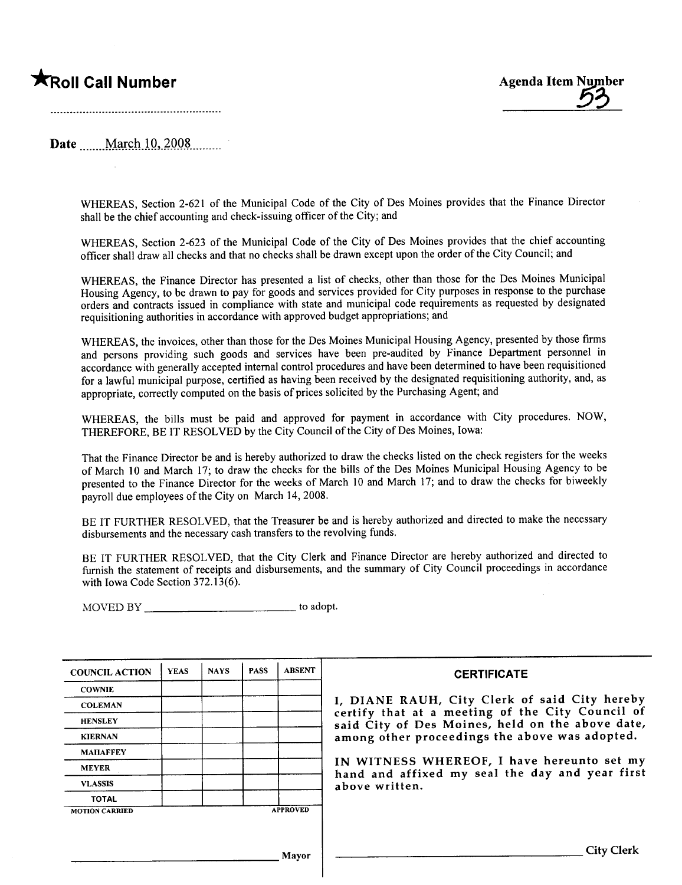# **Example 2018** Agenda Item Number Agenda Item Number



## Date March 10, 2008

WHEREAS, Section 2-621 of the Municipal Code of the City of Des Moines provides that the Finance Director shall be the chief accounting and check-issuing officer of the City; and

WHEREAS, Section 2-623 of the Municipal Code of the City of Des Moines provides that the chief accounting officer shall draw all checks and that no checks shall be drawn except upon the order of the City Council; and

WHEREAS, the Finance Director has presented a list of checks, other than those for the Des Moines Municipal Housing Agency, to be drawn to pay for goods and services provided for City purposes in response to the purchase orders and contracts issued in compliance with state and municipal code requirements as requested by designated requisitioning authorities in accordance with approved budget appropriations; and

WHEREAS, the invoices, other than those for the Des Moines Municipal Housing Agency, presented by those firms and persons providing such goods and services have been pre-audited by Finance Department personnel in accordance with generally accepted internal control procedures and have been determined to have been requisitioned for a lawful municipal purose, certified as having been received by the designated requisitioning authority, and, as appropriate, correctly computed on the basis of prices solicited by the Purchasing Agent; and

WHEREAS, the bils must be paid and approved for payment in accordance with City procedures. NOW, THEREFORE, BE IT RESOLVED by the City Council of the City of Des Moines, Iowa:

That the Finance Director be and is hereby authorized to draw the checks listed on the check registers for the weeks of March 10 and March 17; to draw the checks for the bils of the Des Moines Municipal Housing Agency to be presented to the Finance Director for the weeks of March 10 and March 17; and to draw the checks for biweekly payroll due employees of the City on March 14,2008.

BE IT FURTHER RESOLVED, that the Treasurer be and is hereby authorized and directed to make the necessary disbursements and the necessary cash transfers to the revolving funds.

BE IT FURTHER RESOLVED, that the City Clerk and Finance Director are hereby authorized and directed to furnish the statement of receipts and disbursements, and the summary of City Council proceedings in accordance with Iowa Code Section 372.13(6).

MOVED BY \_\_\_\_\_\_\_\_\_\_\_\_\_\_\_\_\_\_\_\_\_\_\_\_\_\_\_\_\_\_\_\_\_ to adopt.

| <b>COUNCIL ACTION</b> | <b>YEAS</b> | <b>NAYS</b> | <b>PASS</b> | <b>ABSENT</b>   | <b>CERTIFICATE</b>                                                                                |
|-----------------------|-------------|-------------|-------------|-----------------|---------------------------------------------------------------------------------------------------|
| <b>COWNIE</b>         |             |             |             |                 |                                                                                                   |
| <b>COLEMAN</b>        |             |             |             |                 | I, DIANE RAUH, City Clerk of said City hereby<br>certify that at a meeting of the City Council of |
| <b>HENSLEY</b>        |             |             |             |                 | said City of Des Moines, held on the above date,                                                  |
| <b>KIERNAN</b>        |             |             |             |                 | among other proceedings the above was adopted.                                                    |
| <b>MAHAFFEY</b>       |             |             |             |                 |                                                                                                   |
| <b>MEYER</b>          |             |             |             |                 | IN WITNESS WHEREOF, I have hereunto set my<br>hand and affixed my seal the day and year first     |
| <b>VLASSIS</b>        |             |             |             |                 | above written.                                                                                    |
| <b>TOTAL</b>          |             |             |             |                 |                                                                                                   |
| <b>MOTION CARRIED</b> |             |             |             | <b>APPROVED</b> |                                                                                                   |
|                       |             |             |             |                 |                                                                                                   |
|                       |             |             |             | Mayor           | <b>City Clerk</b>                                                                                 |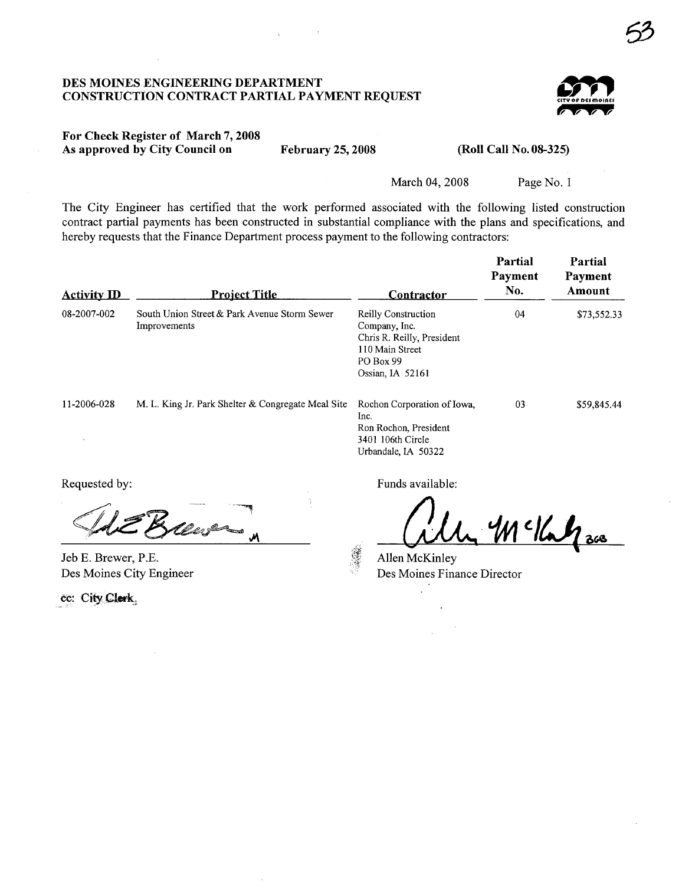### DES MOINES ENGINEERIG DEPARTMENT CONSTRUCTION CONTRACT PARTIAL PAYMENT REQUEST



6?

### For Check Register of March 7, 2008 As approved by City Council on February 25, 2008 (Roll Call No. 08-325)

March 04, 2008 Page No. 1

The City Engineer has certified that the work performed associated with the following listed construction contract partial payments has been constructed in substantial compliance with the plans and specifications, and hereby requests that the Finance Department process payment to the following contractors:

| <b>Activity ID</b> | <b>Project Title</b>                                         | <u>Contractor</u>                                                                                                             | Partial<br>Payment<br>No. | Partial<br>Payment<br>Amount |
|--------------------|--------------------------------------------------------------|-------------------------------------------------------------------------------------------------------------------------------|---------------------------|------------------------------|
| 08-2007-002        | South Union Street & Park Avenue Storm Sewer<br>Improvements | <b>Reilly Construction</b><br>Company, Inc.<br>Chris R. Reilly, President<br>110 Main Street<br>PO Box 99<br>Ossian, IA 52161 | 04                        | \$73,552.33                  |
| 11-2006-028        | M. L. King Jr. Park Shelter & Congregate Meal Site           | Rochon Corporation of Iowa,<br>Inc.<br>Ron Rochon, President<br>3401 106th Circle<br>Urbandale, IA 50322                      | 03                        | \$59,845.44                  |

Jeb E. Brewer, P.E. Des Moines City Engineer

cc: City Clerk

Requested by: Funds available:

allen McKinley<br>Allen McKinley<br>Dec Moines Einerso Director

Allen McKinley Des Moines Finance Director